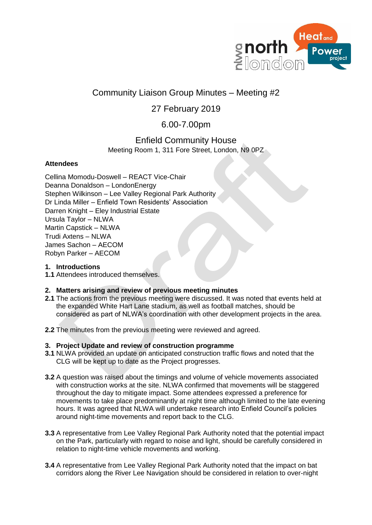

# Community Liaison Group Minutes – Meeting #2

## 27 February 2019

## 6.00-7.00pm

## Enfield Community House Meeting Room 1, 311 Fore Street, London, N9 0PZ

## **Attendees**

Cellina Momodu-Doswell – REACT Vice-Chair Deanna Donaldson – LondonEnergy Stephen Wilkinson – Lee Valley Regional Park Authority Dr Linda Miller – Enfield Town Residents' Association Darren Knight – Eley Industrial Estate Ursula Taylor – NLWA Martin Capstick – NLWA Trudi Axtens – NLWA James Sachon – AECOM Robyn Parker – AECOM

## **1. Introductions**

**1.1** Attendees introduced themselves.

## **2. Matters arising and review of previous meeting minutes**

- **2.1** The actions from the previous meeting were discussed. It was noted that events held at the expanded White Hart Lane stadium, as well as football matches, should be considered as part of NLWA's coordination with other development projects in the area.
- **2.2** The minutes from the previous meeting were reviewed and agreed.

## **3. Project Update and review of construction programme**

- **3.1** NLWA provided an update on anticipated construction traffic flows and noted that the CLG will be kept up to date as the Project progresses.
- **3.2** A question was raised about the timings and volume of vehicle movements associated with construction works at the site. NLWA confirmed that movements will be staggered throughout the day to mitigate impact. Some attendees expressed a preference for movements to take place predominantly at night time although limited to the late evening hours. It was agreed that NLWA will undertake research into Enfield Council's policies around night-time movements and report back to the CLG.
- **3.3** A representative from Lee Valley Regional Park Authority noted that the potential impact on the Park, particularly with regard to noise and light, should be carefully considered in relation to night-time vehicle movements and working.
- **3.4** A representative from Lee Valley Regional Park Authority noted that the impact on bat corridors along the River Lee Navigation should be considered in relation to over-night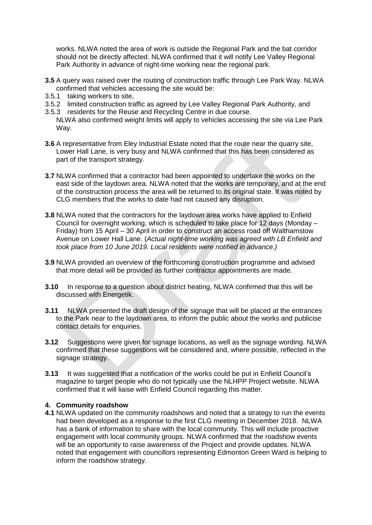works. NLWA noted the area of work is outside the Regional Park and the bat corridor should not be directly affected. NLWA confirmed that it will notify Lee Valley Regional Park Authority in advance of night-time working near the regional park.

- **3.5** A query was raised over the routing of construction traffic through Lee Park Way. NLWA confirmed that vehicles accessing the site would be:
- 3.5.1 taking workers to site,
- 3.5.2 limited construction traffic as agreed by Lee Valley Regional Park Authority, and
- 3.5.3 residents for the Reuse and Recycling Centre in due course.
- NLWA also confirmed weight limits will apply to vehicles accessing the site via Lee Park Way.
- **3.6** A representative from Eley Industrial Estate noted that the route near the quarry site, Lower Hall Lane, is very busy and NLWA confirmed that this has been considered as part of the transport strategy.
- **3.7** NLWA confirmed that a contractor had been appointed to undertake the works on the east side of the laydown area. NLWA noted that the works are temporary, and at the end of the construction process the area will be returned to its original state. It was noted by CLG members that the works to date had not caused any disruption.
- **3.8** NLWA noted that the contractors for the laydown area works have applied to Enfield Council for overnight working, which is scheduled to take place for 12 days (Monday – Friday) from 15 April – 30 April in order to construct an access road off Walthamstow Avenue on Lower Hall Lane. (*Actual night-time working was agreed with LB Enfield and took place from 10 June 2019. Local residents were notified in advance.)*
- **3.9** NLWA provided an overview of the forthcoming construction programme and advised that more detail will be provided as further contractor appointments are made.
- **3.10** In response to a question about district heating, NLWA confirmed that this will be discussed with Energetik.
- **3.11** NLWA presented the draft design of the signage that will be placed at the entrances to the Park near to the laydown area, to inform the public about the works and publicise contact details for enquiries.
- **3.12** Suggestions were given for signage locations, as well as the signage wording. NLWA confirmed that these suggestions will be considered and, where possible, reflected in the signage strategy.
- **3.13** It was suggested that a notification of the works could be put in Enfield Council's magazine to target people who do not typically use the NLHPP Project website. NLWA confirmed that it will liaise with Enfield Council regarding this matter.

#### **4. Community roadshow**

**4.1** NLWA updated on the community roadshows and noted that a strategy to run the events had been developed as a response to the first CLG meeting in December 2018. NLWA has a bank of information to share with the local community. This will include proactive engagement with local community groups. NLWA confirmed that the roadshow events will be an opportunity to raise awareness of the Project and provide updates. NLWA noted that engagement with councillors representing Edmonton Green Ward is helping to inform the roadshow strategy.